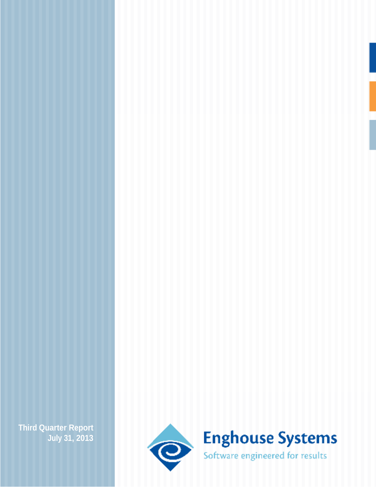**July 31, 2013**

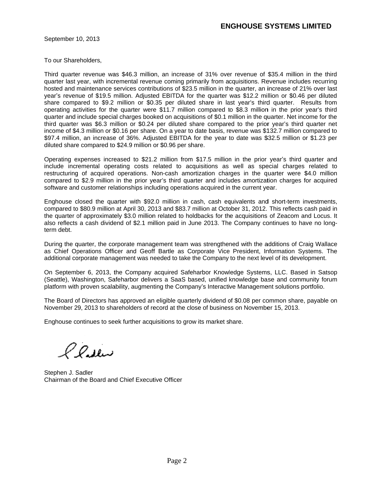September 10, 2013 **September 10, 2013** 10, 2013

To our Shareholders, To our

Third quarter revenue was \$46.3 million, an increase of 31% over revenue of \$35.4 million in the third quarter last year, with incremental revenue coming primarily from acquisitions. Revenue includes recurring hosted and maintenance services contributions of \$23.5 million in the quarter, an increase of 21% over last<br>year's revenue of \$19.5 million. Adjusted EBITDA for the quarter was \$12.2 million or \$0.46 per diluted year's revenue of \$19.5 million. Adjusted EBITDA for the quarter was \$12.2 million or \$0.46 per diluted share compared to \$9.2 million or \$0.35 per diluted share in last year's third quarter. Results from operating activities for the quarter were \$11.7 million compared to \$8.3 million in the prior year's third<br>quarter and include special charges booked on acquisitions of \$0.1 million in the quarter. Net income for the quarter and include special charges booked on acquisitions of \$0.1 million in the quarter. Net income for the third quarter was \$6.3 million or \$0.24 per diluted share compared to the prior year's third quarter net income of \$4.3 million or \$0.16 per share. On a year to date basis, revenue was \$132.7 million compared to \$97.4 million, an increase of 36%. Adjusted EBITDA for the year to date was \$32.5 million or \$1.23 per<br>diluted share compared to \$24.9 million or \$0.96 per share. diluted share compared to \$24.9 million or \$0.96 per share. \$0.96 per share. **ENGHOUSE SYSTEMS LIMITED**<br>
Triangular resolutions,<br>
the record was \$46.3 million, on increase of 31% over revenue of \$55.4 million in the third<br>
tyres, with incremental recorduositions of \$25.5 million in the quarket an i on, an increase of 31% over revenue of \$35.4 million in the third<br>nue ooming primarily from acquisitions. Revenue includes recurring<br>ibutions of \$23.5 million in the quarter, an increase of 21% over last<br>butions of \$23.5 m tal revenue coming primarily from acquisitions. Revenue includes recurring<br>es contributions of \$23.5 million in the quarter, an increase of 21% over last<br>. Adjusted EBITDA for the quarter was \$12.2 million or \$0.46 per d ed on acquisitions of \$0.1 million in the quarter. Net income for the<br>per\_diluted\_share\_compared\_to\_the\_prior\_year's\_third\_quarter\_net<br>. On a year to date basis, revenue was \$132.7 million compared to Third quarter revonuse 3463 million, in increases do 13% over revonus of 33% million in the britis material and mathematics services continues and mathematics are revonus of 52% or increases of 2% or increases of the stat includes 21% over last million or \$0.46 per diluted third quarter. Results from third quarter net \$132.7 million compared million or \$1.23 per enue of \$35.4 million in the third<br>tions. Revenue includes recurring<br>trater, an increase of 21% over last<br>\$12.2 million or \$0.46 per diluted<br>ar's third quarter. Results from<br>an in the pior year's third and in the quarter. **recurring** 21% over last per diluted third quarter net to \$1.23 per

Operating expenses increased to \$21.2 million from \$17.5 million in the prior year's third quarter and Operating expenses increased to \$21.2 million from \$17.5 million in the prior year's third quarter and<br>include incremental operating costs related to acquisitions as well as special charges related to include incremental operating costs related to acquisitions as well as special charges related to<br>restructuring of acquired operations. Non-cash amortization charges in the quarter were \$4.0 million restructuring of acquired operations. Non-cash amortization charges in the quarter were \$4.0 million<br>compared to \$2.9 million in the prior year's third quarter and includes amortization charges for acquired software and customer relationships including operations acquired in the current year. include incremental operating costs related to acquisitions as well as special charges related to<br>restructuring of acquired operations. Non-cash amortization charges in the quarter were \$4.0 million<br>compared to \$2.9 milli \$4.0 million \$4.0 million

Enghouse closed the quarter with \$92.0 million in cash, cash equivalents and short-term investments, Enghouse closed the quarter with \$92.0 million in cash, cash equivalents and short-term investments,<br>compared to \$80.9 million at April 30, 2013 and \$83.7 million at October 31, 2012. This reflects cash paid in the quarter of approximately \$3.0 million related to holdbacks for the acquisitions of Zeacom and Locus. It also reflects a cash dividend of \$2.1 million paid in June 2013. The Company continues to have no longterm debt. ng operations acquired in the current year.<br>million in cash, cash equivalents and short-term investments, year.<br>nd short-term investments, of Zeacom and continues to have no long term investments,<br>iflects cash paid in Locus. It

During the quarter, the corporate management team was strengthened with the additions of Craig Wallace During the quarter, the corporate management team was strengthened with the additions of Craig Wallace<br>as Chief Operations Officer and Geoff Bartle as Corporate Vice President, Information Systems. The dividend of \$2.1 million paid in June 2013. The Company continues to have no long-<br>he corporate management team was strengthened with the additions of Craig Wallace<br>s Officer and Geoff Bartle as Corporate Vice President, I additions of Craig Wallace President, Information Systems. The<br>b the next level of its development.<br>dge Systems, LLC. Based in Satsop tions of Craig Wallace<br>mation Systems. The

additional corporate management was needed to take the Company to the next level of its development.<br>On September 6, 2013, the Company acquired Safeharbor Knowledge Systems, LLC. Based in Satsop On September 6, 2013, the Company acquired Safeharbor Knowledge Systems, LLC. Based in Satsop (Seattle), Washington, Safeharbor delivers a SaaS based, unified knowledge base and community forum (Seattle), Washington, Safeharbor delivers a SaaS based, unified knowledge base and community forum<br>platform with proven scalability, augmenting the Company's Interactive Management solutions portfolio. l, unified knowledge base and community forum<br>s Interactive Management solutions portfolio. , 2013, the Company acquired Safeharbor Knowledge Systems, LLC. Based in Satsop<br>igton, Safeharbor delivers a SaaS based, unified knowledge base and community forum<br>/en scalability, augmenting the Company's Interactive Mana

platform with proven scalability, augmenting the Company's Interactive Management solutions portfolio.<br>The Board of Directors has approved an eligible quarterly dividend of \$0.08 per common share, payable on November 29, 2013 to shareholders of record at the close of business on November 15, 2013. on

Enghouse continues to seek further acquisitions to grow its market share. to seek further acquisitions to grow its market share.<br>J. Sadler

Stephen J. Sadler Chairman of the Board and Chief Executive Officer **Executive Officer Executive Officer**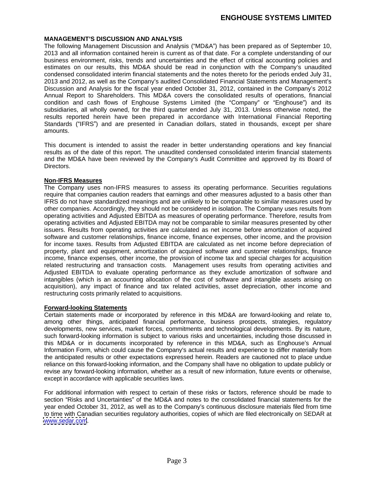# **ENGHOUSE SYSTEMS LIMITED**

#### **MANAGEMENT S DISCUSSION AND ANALYSIS**

The following Management Discussion and Analysis ("MD&A") has been prepared as of September 10, 2013 and all information contained herein is current as of that date. For a complete understanding of our business environment, risks, trends and uncertainties and the effect of critical accounting policies and estimates on our results, this MD&A should be read in conjunction with the Company's unaudited condensed consolidated interim financial statements and the notes thereto for the periods ended July 31, 2013 and 2012, as well as the Company's audited Consolidated Financial Statements and Management's Discussion and Analysis for the fiscal year ended October 31, 2012, contained in the Company's 2012 Annual Report to Shareholders. This MD&A covers the consolidated results of operations, financial condition and cash flows of Enghouse Systems Limited (the "Company" or "Enghouse") and its subsidiaries, all wholly owned, for the third quarter ended July 31, 2013. Unless otherwise noted, the results reported herein have been prepared in accordance with International Financial Reporting Standards ("IFRS") and are presented in Canadian dollars, stated in thousands, except per share amounts.

This document is intended to assist the reader in better understanding operations and key financial results as of the date of this report. The unaudited condensed consolidated interim financial statements and the MD&A have been reviewed by the Company's Audit Committee and approved by its Board of Directors.

#### **Non-IFRS Measures**

The Company uses non-IFRS measures to assess its operating performance. Securities regulations require that companies caution readers that earnings and other measures adjusted to a basis other than IFRS do not have standardized meanings and are unlikely to be comparable to similar measures used by other companies. Accordingly, they should not be considered in isolation. The Company uses results from operating activities and Adjusted EBITDA as measures of operating performance. Therefore, results from operating activities and Adjusted EBITDA may not be comparable to similar measures presented by other issuers. Results from operating activities are calculated as net income before amortization of acquired software and customer relationships, finance income, finance expenses, other income, and the provision for income taxes. Results from Adjusted EBITDA are calculated as net income before depreciation of property, plant and equipment, amortization of acquired software and customer relationships, finance income, finance expenses, other income, the provision of income tax and special charges for acquisition related restructuring and transaction costs. Management uses results from operating activities and Adjusted EBITDA to evaluate operating performance as they exclude amortization of software and intangibles (which is an accounting allocation of the cost of software and intangible assets arising on acquisition), any impact of finance and tax related activities, asset depreciation, other income and restructuring costs primarily related to acquisitions.

#### **Forward-looking Statements**

Certain statements made or incorporated by reference in this MD&A are forward-looking and relate to, among other things, anticipated financial performance, business prospects, strategies, regulatory developments, new services, market forces, commitments and technological developments. By its nature, such forward-looking information is subject to various risks and uncertainties, including those discussed in this MD&A or in documents incorporated by reference in this MD&A, such as Enghouse's Annual Information Form, which could cause the Company's actual results and experience to differ materially from the anticipated results or other expectations expressed herein. Readers are cautioned not to place undue reliance on this forward-looking information, and the Company shall have no obligation to update publicly or revise any forward-looking information, whether as a result of new information, future events or otherwise, except in accordance with applicable securities laws.

For additional information with respect to certain of these risks or factors, reference should be made to section "Risks and Uncertainties" of the MD&A and notes to the consolidated financial statements for the year ended October 31, 2012, as well as to the Company's continuous disclosure materials filed from time to time with Canadian securities regulatory authorities, copies of which are filed electronically on SEDAR at [www.sedar.com](http://www.sedar.com).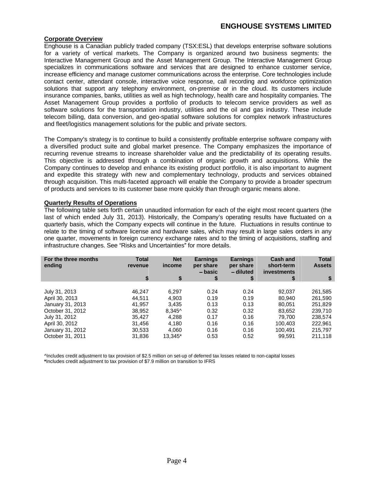# **ENGHOUSE SYSTEMS LIMITED**

#### **Corporate Overview**

Enghouse is a Canadian publicly traded company (TSX:ESL) that develops enterprise software solutions for a variety of vertical markets. The Company is organized around two business segments: the Interactive Management Group and the Asset Management Group. The Interactive Management Group specializes in communications software and services that are designed to enhance customer service, increase efficiency and manage customer communications across the enterprise. Core technologies include contact center, attendant console, interactive voice response, call recording and workforce optimization solutions that support any telephony environment, on-premise or in the cloud. Its customers include insurance companies, banks, utilities as well as high technology, health care and hospitality companies. The Asset Management Group provides a portfolio of products to telecom service providers as well as software solutions for the transportation industry, utilities and the oil and gas industry. These include telecom billing, data conversion, and geo-spatial software solutions for complex network infrastructures and fleet/logistics management solutions for the public and private sectors.

The Company s strategy is to continue to build a consistently profitable enterprise software company with a diversified product suite and global market presence. The Company emphasizes the importance of recurring revenue streams to increase shareholder value and the predictability of its operating results. This objective is addressed through a combination of organic growth and acquisitions. While the Company continues to develop and enhance its existing product portfolio, it is also important to augment and expedite this strategy with new and complementary technology, products and services obtained through acquisition. This multi-faceted approach will enable the Companyto provide a broader spectrum of products and services to its customer base more quickly than through organic means alone.

#### **Quarterly Results of Operations**

The following table sets forth certain unaudited information for each of the eight most recent quarters (the last of which ended July 31, 2013). Historically, the Company's operating results have fluctuated on a quarterly basis, which the Company expects will continue in the future. Fluctuations in results continue to relate to the timing of software license and hardware sales, which may result in large sales orders in any one quarter, movements in foreign currency exchange rates and to the timing of acquisitions, staffing and infrastructure changes. See "Risks and Uncertainties" for more details.

| For the three months                                                                                                                               | Total   |         | Earning              | <b>Earnings</b>        | Cash and                  | Total         |
|----------------------------------------------------------------------------------------------------------------------------------------------------|---------|---------|----------------------|------------------------|---------------------------|---------------|
| ending                                                                                                                                             | revenue | income  | per share<br>– basic | per share<br>– diluted | short-term<br>investments | <b>Assets</b> |
|                                                                                                                                                    |         |         |                      |                        |                           |               |
|                                                                                                                                                    | 46,247  | 6,297   | 0.24                 | 0.24                   | 92,037                    | 261,585       |
| July 31, 2013<br>April 30, 2013<br>January 31, 2013<br>October 31, 2012<br>July 31, 2012<br>April 30, 2012<br>January 31, 2012<br>October 31, 2011 | 44,511  | 4,903   | 0.19                 | 0.19                   | 80,940                    | 261,590       |
|                                                                                                                                                    | 41,957  | 3,435   | 0.13                 | 0.13                   | 80,051                    | 251,829       |
|                                                                                                                                                    | 38,952  | 8,345^  | 0.32                 | 0.32                   | 83,652                    | 239,710       |
|                                                                                                                                                    | 35,427  | 4,288   | 0.17                 | 0.16                   | 79,700                    | 238,574       |
|                                                                                                                                                    | 31,456  | 4,180   | 0.16                 | 0.16                   | 100,403                   | 222,961       |
|                                                                                                                                                    | 30,533  | 4,060   | 0.16                 | 0.16                   | 100,491                   | 215,797       |
|                                                                                                                                                    | 31,836  | 13,345* | 0.53                 | 0.52                   | 99,591                    | 211,118       |

^Includes credit adjustment to tax provision of \$2.5 million on set-up of deferred tax losses related to non-capital losses **\***Includes credit adjustment to tax provision of \$7.9 million on transition to IFRS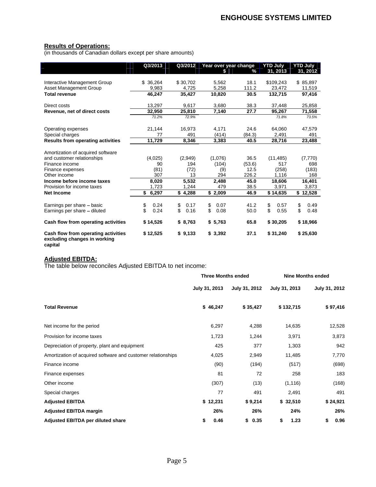#### **Results of Operations:**

(in thousands of Canadian dollars except per share amounts)

|                                                                                                                       | Q3/2013                                                                |                             | Q3/2012 Year over year change TYTD July TYTD July |                                   | $\sqrt[3]{}$ 31, 2013                                                        | $-31, 2012$                    |
|-----------------------------------------------------------------------------------------------------------------------|------------------------------------------------------------------------|-----------------------------|---------------------------------------------------|-----------------------------------|------------------------------------------------------------------------------|--------------------------------|
| Interactive Management Group<br>Asset Management Group                                                                | \$36,264<br>$\frac{9,983}{46,247}$                                     | \$30,702<br>4,725<br>35,427 | 5,562<br>5,258<br>10,820                          |                                   | 18.1 \$109,243 \$85,897<br>111.2 23,472 11,519<br><b>30.5 132,715 97,416</b> |                                |
| <b>Total revenue</b><br>Direct costs                                                                                  | 13,297                                                                 | 9.617                       | 3,680                                             |                                   | 38.3 37,448 25,858                                                           |                                |
| Revenue, net of direct costs                                                                                          | $\frac{10,201}{32,950}$                                                | 25,810                      | 7,140                                             | 27.7                              | 95,267                                                                       | $\frac{71,558}{73.5\%}$        |
| Operating expenses<br>Special charges                                                                                 | 21,144                                                                 | 16,973                      | 4,171<br>(414)                                    | 24.6<br>(84.3)                    | 64,060<br>2,491                                                              | 47,579<br>491                  |
| <b>Results from operating activities</b>                                                                              | the contract of the contract of the contract of<br>11,729              | 8,346                       | 3,383                                             |                                   | $40.5$ 28,716                                                                | 23,488                         |
| Amortization of acquired software<br>and customer relationships<br>Finance income<br>Finance expenses<br>Other income | (4,025)<br>(81)                                                        | (2,949)<br>194<br>(72)      | (1,076)<br>(104)                                  | 36.5<br>(53.6)<br>ो 12.5<br>226.2 | $\begin{array}{c} \left( 11,485\right) \\ -517 \end{array}$<br>(258)         | (7,770)<br>698<br>(183)<br>168 |
| Income before income taxes<br>Provision for income taxes                                                              | 207<br>$\frac{1}{8,020}$<br>1 7 2 3<br>the contract of the contract of | 5,532<br>1.244              | 294<br>2,488<br>479                               | 45.0<br>38.5                      | 1 1 1 6<br>18,606<br>3.971                                                   | 16,401<br>3,873                |
| <b>Net Income</b>                                                                                                     | \$6,297                                                                |                             | $$4,288$ $$2,009$                                 |                                   | 46.9 \$14,635 \$12,528                                                       |                                |
| Earnings per share - basic<br>Earnings per share - diluted                                                            | \$0.24<br>\$0.24                                                       | 0.17                        | \$0.07<br>$$0.16$ $$0.08$                         |                                   | 41.2 \$ 0.57<br>50.0 \$ 0.55 \$ 0.48                                         | \$0.49                         |
| Cash flow from operating activities                                                                                   | \$14,526                                                               | \$8,763                     | \$5,763                                           |                                   | 65.8 \$30,205 \$18,966                                                       |                                |
| Cash flow from operating activities<br>excluding changes in working<br>capital                                        | \$12,525                                                               |                             | $$9,133$ $$3,392$                                 |                                   | 37.1 \$31,240 \$25,630                                                       |                                |

#### **Adjusted EBITDA:**

The table below reconciles Adjusted EBITDA to net income:

|                                                              | <b>Three Months ended</b>                 |          | <b>Nine Months ended</b> |               |  |
|--------------------------------------------------------------|-------------------------------------------|----------|--------------------------|---------------|--|
|                                                              | July 31, 2013 July 31, 2012 July 31, 2013 |          |                          | July 31, 2012 |  |
| <b>Total Revenue</b>                                         | \$46,247                                  | \$35,427 | \$132,715                | \$97,416      |  |
| Net income for the period                                    | 6,297                                     | 4,288    | 14,635                   | 12,528        |  |
| Provision for income taxes                                   | 1,723                                     | 1,244    | 3,971                    | 3,873         |  |
| Depreciation of property, plant and equipment                | 425                                       | 377      | 1,303                    | 942           |  |
| Amortization of acquired software and customer relationships | 4,025                                     | 2,949    | 11,485                   | 7,770         |  |
| Finance income                                               | (90)                                      | (194)    | (517)                    | (698)         |  |
| Finance expenses                                             | 81                                        |          | 258                      | 183           |  |
| Other income                                                 | (307)                                     | (13)     | (1, 116)                 | (168)         |  |
| Special charges                                              | 77                                        | 491      | 2,491                    | 491           |  |
| <b>Adjusted EBITDA</b>                                       | \$12,231                                  | \$9,214  | \$32,510                 | \$24,921      |  |
| <b>Adjusted EBITDA margin</b>                                | 26%                                       | 26%      | 24%                      | 26%           |  |
| Adjusted EBITDA per diluted share                            | $\phi$ 0.46                               | \$0.35   | \$ 1.23                  | \$ 0.96       |  |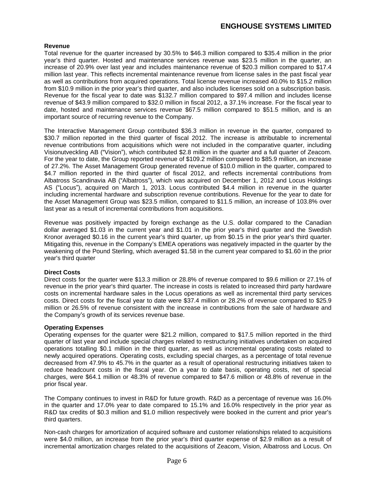### **Revenue**

Total revenue for the quarter increased by 30.5% to \$46.3 million compared to \$35.4 million in the prior year's third quarter. Hosted and maintenance services revenue was \$23.5 million in the quarter, an increase of 20.9% over last year and includes maintenance revenue of \$20.3 million compared to \$17.4 million last year. This reflects incremental maintenance revenue from license sales in the past fiscal year as well as contributions from acquired operations. Total license revenue increased 40.0% to \$15.2 million from \$10.9 million in the prior year's third quarter, and also includes licenses sold on a subscription basis. Revenue for the fiscal year to date was \$132.7 million compared to \$97.4 million and includes license revenue of \$43.9 million compared to \$32.0 million in fiscal 2012, a 37.1% increase. For the fiscal year to date, hosted and maintenance services revenue \$67.5 million compared to \$51.5 million, and is an important source of recurring revenue to the Company.

The Interactive Management Group contributed \$36.3 million in revenue in the quarter, compared to \$30.7 million reported in the third quarter of fiscal 2012. The increase is attributable to incremental revenue contributions from acquisitions which were not included in the comparative quarter, including Visionutveckling AB ("Vision"), which contributed \$2.8 million in the quarter and a full quarter of Zeacom.<br>For the year to date, the Group reported revenue of \$109.2 million compared to \$85.9 million, an increase of 27.2%. The Asset Management Group generated revenue of \$10.0 million in the quarter, compared to \$4.7 million reported in the third quarter of fiscal 2012, and reflects incremental contributions from Albatross Scandinavia AB ("Albatross"), which was acquired on December 1, 2012 and Locus Holdings AS ("Locus"), acquired on March 1, 2013. Locus contributed \$4.4 million in revenue in the quarter including incremental hardware and subscription revenue contributions. Revenue for the year to date for the Asset Management Group was \$23.5 million, compared to \$11.5 million, an increase of 103.8% over last year as a result of incremental contributions from acquisitions.

Revenue was positively impacted by foreign exchange as the U.S. dollar compared to the Canadian dollar averaged \$1.03 in the current year and \$1.01 in the prior year's third quarter and the Swedish Kronor averaged \$0.16 in the current year's third quarter, up from \$0.15 in the prior year's third quarter. Mitigating this, revenue in the Company's EMEA operations was negatively impacted in the quarter by the weakening of the Pound Sterling, which averaged \$1.58 in the current year compared to \$1.60 in the prior year's third quarter and the state of the state of the state of the state of the state of the state of the state of the state of the state of the state of the state of the state of the state of the state of the state of th

### **Direct Costs**

Direct costs for the quarter were \$13.3 million or 28.8% of revenue compared to \$9.6 million or 27.1% of revenue in the prior year's third quarter. The increase in costs is related to increased third party hardware costs on incremental hardware sales in the Locus operations as well as incremental third party services costs. Direct costs for the fiscal year to date were \$37.4 million or 28.2% of revenue compared to \$25.9 million or 26.5% of revenue consistent with the increase in contributions from the sale of hardware and the Company's growth of its services revenue base.

### **Operating Expenses**

Operating expenses for the quarter were \$21.2 million, compared to \$17.5 million reported in the third quarter of last year and include special charges related to restructuring initiatives undertaken on acquired operations totalling \$0.1 million in the third quarter, as well as incremental operating costs related to newly acquired operations. Operating costs, excluding special charges, as a percentage of total revenue decreased from 47.9% to 45.7% in the quarter as a result of operational restructuring initiatives taken to reduce headcount costs in the fiscal year. On a year to date basis, operating costs, net of special charges, were \$64.1 million or 48.3% of revenue compared to \$47.6 million or 48.8% of revenue in the prior fiscal year.

The Company continues to invest in R&D for future growth. R&D as a percentage of revenue was 16.0% in the quarter and 17.0% year to date compared to 15.1% and 16.0% respectively in the prior year as R&D tax credits of \$0.3 million and \$1.0 million respectively were booked in the current and prior year's third quarters.

Non-cash charges for amortization of acquired software and customer relationships related to acquisitions were \$4.0 million, an increase from the prior year's third quarter expense of \$2.9 million as a result of incremental amortization charges related to the acquisitions of Zeacom, Vision, Albatross and Locus. On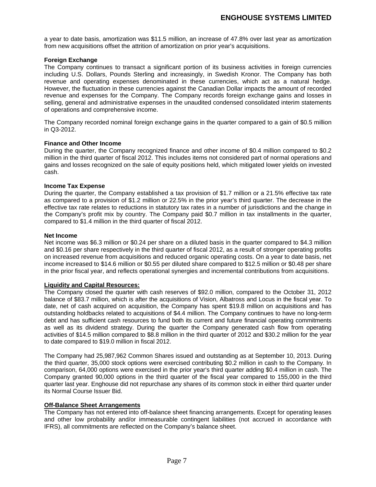a year to date basis, amortization was \$11.5 million, an increase of 47.8% over last year as amortization from new acquisitions offset the attrition of amortization on prior year's acquisitions.

#### **Foreign Exchange**

The Company continues to transact a significant portion of its business activities in foreign currencies including U.S. Dollars, Pounds Sterling and increasingly, in Swedish Kronor. The Company has both revenue and operating expenses denominated in these currencies, which act as a natural hedge. However, the fluctuation in these currencies against the Canadian Dollar impacts the amount of recorded revenue and expenses for the Company. The Company records foreign exchange gains and losses in selling, general and administrative expenses in the unaudited condensed consolidated interim statements of operations and comprehensive income.

The Company recorded nominal foreign exchange gains in the quarter compared to a gain of \$0.5 million in Q3-2012.

#### **Finance and Other Income**

During the quarter, the Company recognized finance and other income of \$0.4 million compared to \$0.2 million in the third quarter of fiscal 2012. This includes items not considered part of normal operations and gains and losses recognized on the sale of equity positions held, which mitigated lower yields on invested cash.

#### **Income Tax Expense**

During the quarter, the Company established a tax provision of \$1.7 million or a 21.5% effective tax rate as compared to a provision of \$1.2 million or 22.5% in the prior year's third quarter. The decrease in the effective tax rate relates to reductions in statutory tax rates in a number of jurisdictions and the change in the Company's profit mix by country. The Company paid \$0.7 million in tax installments in the quarter, compared to \$1.4 million in the third quarter of fiscal 2012.

#### **Net Income**

Net income was \$6.3 million or \$0.24 per share on a diluted basis in the quarter compared to \$4.3 million and \$0.16 per share respectively in the third quarter of fiscal 2012, as a result of stronger operating profits on increased revenue from acquisitions and reduced organic operating costs. On a year to date basis, net income increased to \$14.6 million or \$0.55 per diluted share compared to \$12.5 million or \$0.48 per share in the prior fiscal year, and reflects operational synergies and incremental contributions from acquisitions.

#### **Liquidity and Capital Resources:**

The Company closed the quarter with cash reserves of \$92.0 million, compared to the October 31, 2012 balance of \$83.7 million, which is after the acquisitions of Vision, Albatross and Locus in the fiscal year. To date, net of cash acquired on acquisition, the Company has spent \$19.8 million on acquisitions and has outstanding holdbacks related to acquisitions of \$4.4 million. The Company continues to have no long-term debt and has sufficient cash resources to fund both its current and future financial operating commitments as well as its dividend strategy. During the quarter the Company generated cash flow from operating activities of \$14.5 million compared to \$8.8 million in the third quarter of 2012 and \$30.2 million for the year

to date compared to \$19.0 million in fiscal 2012.<br>The Company had 25,987,962 Common Shares issued and outstanding as at September 10, 2013. During the third quarter, 35,000 stock options were exercised contributing \$0.2 million in cash to the Company. In comparison, 64,000 options were exercised in the prior year's third quarter adding \$0.4 million in cash. The Company granted 90,000 options in the third quarter of the fiscal year compared to 155,000 in the third quarter last year. Enghouse did not repurchase any shares of its common stock in either third quarter under its Normal Course Issuer Bid.

#### **Off-Balance Sheet Arrangements**

The Company has not entered into off-balance sheet financing arrangements. Except for operating leases and other low probability and/or immeasurable contingent liabilities (not accrued in accordance with IFRS), all commitments are reflected on the Company's balance sheet.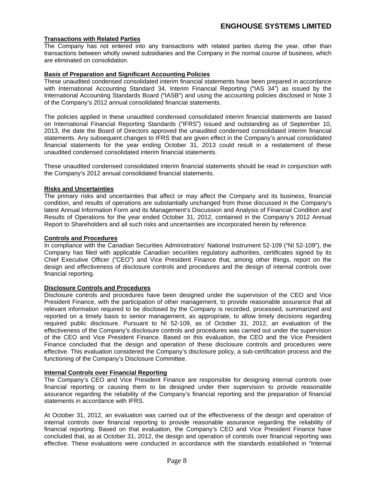### **Transactions with Related Parties**

The Company has not entered into any transactions with related parties during the year, other than transactions between wholly owned subsidiaries and the Company in the normal course of business, which are eliminated on consolidation.

#### **Basis of Preparation and Significant Accounting Policies**

These unaudited condensed consolidated interim financial statements have been prepared in accordance with International Accounting Standard 34, Interim Financial Reporting ("IAS 34") as issued by the International Accounting Standards Board ("IASB") and using the accounting policies disclosed in Note 3 of the Company's 2012 annual consolidated financial statements.

The policies applied in these unaudited condensed consolidated interim financial statements are based on International Financial Reporting Standards ("IFRS") issued and outstanding as of September 10, 2013, the date the Board of Directors approved the unaudited condensed consolidated interim financial statements. Any subsequent changes to IFRS that are given effect in the Company's annual consolidated financial statements for the year ending October 31, 2013 could result in a restatement of these unaudited condensed consolidated interim financial statements.

These unaudited condensed consolidated interim financial statements should be read in conjunction with the Company's 2012 annual consolidated financial statements.

#### **Risks and Uncertainties**

The primary risks and uncertainties that affect or may affect the Company and its business, financial condition, and results of operations are substantially unchanged from those discussed in the Company s latest Annual Information Form and its Management's Discussion and Analysis of Financial Condition and Results of Operations for the year ended October 31, 2012, contained in the Company's 2012 Annual Report to Shareholders and all such risks and uncertainties are incorporated herein by reference.

#### **Controls and Procedures**

In compliance with the Canadian Securities Administrators' National Instrument 52-109 ("NI 52-109"), the Company has filed with applicable Canadian securities regulatory authorities, certificates signed by its Chief Executive Officer ("CEO") and Vice President Finance that, among other things, report on the design and effectiveness of disclosure controls and procedures and the design of internal controls over financial reporting.

#### **Disclosure Controls and Procedures**

Disclosure controls and procedures have been designed under the supervision of the CEO and Vice President Finance, with the participation of other management, to provide reasonable assurance that all relevant information required to be disclosed by the Company is recorded, processed, summarized and reported on a timely basis to senior management, as appropriate, to allow timely decisions regarding required public disclosure. Pursuant to NI 52-109, as of October 31, 2012, an evaluation of the effectiveness of the Company's disclosure controls and procedures was carried out under the supervision of the CEO and Vice President Finance. Based on this evaluation, the CEO and the Vice President Finance concluded that the design and operation of these disclosure controls and procedures were effective. This evaluation considered the Company's disclosure policy, a sub-certification process and the functioning of the Company's Disclosure Committee.

#### **Internal Controls over Financial Reporting**

The Company's CEO and Vice President Finance are responsible for designing internal controls over financial reporting or causing them to be designed under their supervision to provide reasonable assurance regarding the reliability of the Company's financial reporting and the preparation of financial

statements in accordance with IFRS.<br>At October 31, 2012, an evaluation was carried out of the effectiveness of the design and operation of internal controls over financial reporting to provide reasonable assurance regarding the reliability of financial reporting. Based on that evaluation, the Company's CEO and Vice President Finance have concluded that, as at October 31, 2012, the design and operation of controls over financial reporting was effective. These evaluations were conducted in accordance with the standards established in "Internal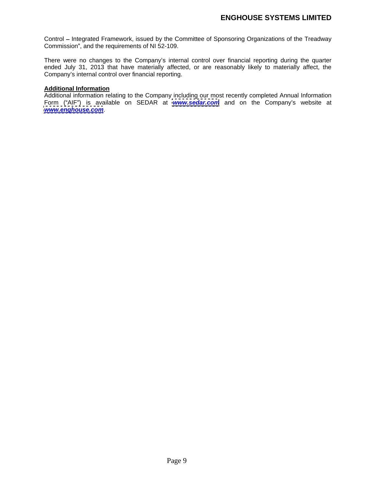Control - Integrated Framework, issued by the Committee of Sponsoring Organizations of the Treadway Commission", and the requirements of NI 52-109.

There were no changes to the Company's internal control over financial reporting during the quarter ended July 31, 2013 that have materially affected, or are reasonably likely to materially affect, the Company's internal control over financial reporting.

#### **Additional Information**

Additional information relating to the Company including our most recently completed Annual Information Form ("AIF") is available on SEDAR at **[www.sedar.com](http://www.sedar.com)** and on the Company's website at **[www.enghouse.com](http://www.enghouse.com)**.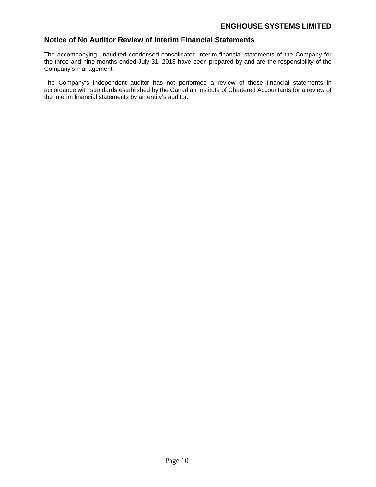# **Notice of No Auditor Review of Interim Financial Statements**

The accompanying unaudited condensed consolidated interim financial statements of the Company for the three and nine months ended July 31, 2013 have been prepared by and are the responsibility of the Company's management.

The Company's independent auditor has not performed a review of these financial statements in accordance with standards established by the Canadian Institute of Chartered Accountants for a review of the interim financial statements by an entity's auditor.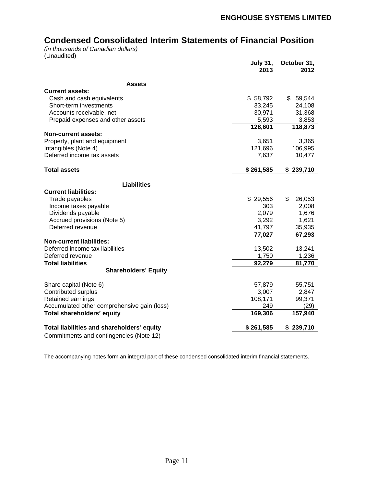# **Condensed Consolidated Interim Statements of Financial Position**

(in thousands of Canadian dollars)<br>(Unaudited) (Unaudited)

|                                             | July 31,<br>2013 | ,0ctober 31<br>2012 |
|---------------------------------------------|------------------|---------------------|
| <b>Assets</b>                               |                  |                     |
| <b>Current assets:</b>                      |                  |                     |
| Cash and cash equivalents                   | \$58,792         | \$59,544            |
| Short-term investments                      | 33,245           | 24,108              |
| Accounts receivable, net                    | 30,971           | 31,368              |
| Prepaid expenses and other assets           | 5,593            | 3,853               |
|                                             | 128,601          | 118,873             |
| <b>Non-current assets:</b>                  |                  |                     |
| Property, plant and equipment               | 3,651            | 3,365               |
| Intangibles (Note 4)                        | 121,696          | 106,995             |
| Deferred income tax assets                  | 7,637            | 10,477              |
|                                             |                  |                     |
| <b>Total assets</b>                         | \$261,585        | \$239,710           |
|                                             |                  |                     |
| <b>Liabilities</b>                          |                  |                     |
| <b>Current liabilities:</b>                 |                  |                     |
| Trade payables                              | \$29,556         | 26,053<br>\$        |
| Income taxes payable                        | 303              | 2,008               |
| Dividends payable                           | 2,079            | 1,676               |
| Accrued provisions (Note 5)                 | 3,292            | 1,621               |
| Deferred revenue                            | 41,797           | 35,935              |
|                                             | 77,027           | 67,293              |
| <b>Non-current liabilities:</b>             |                  |                     |
| Deferred income tax liabilities             | 13,502           | 13,241              |
| Deferred revenue                            | 1,750            | 1,236               |
| <b>Total liabilities</b>                    | 92,279           | 81,770              |
| <b>Shareholders' Equity</b>                 |                  |                     |
| Share capital (Note 6)                      | 57,879           | 55,751              |
| Contributed surplus                         | 3,007            | 2,847               |
| Retained earnings                           | 108,171          | 99,371              |
| Accumulated other comprehensive gain (loss) | 249              | (29)                |
| Total shareholders' equity                  | 169,306          | 157,940             |
|                                             |                  |                     |
| Total liabilities and shareholders' equity  | \$261,585        | \$239,710           |
| Commitments and contingencies (Note 12)     |                  |                     |
|                                             |                  |                     |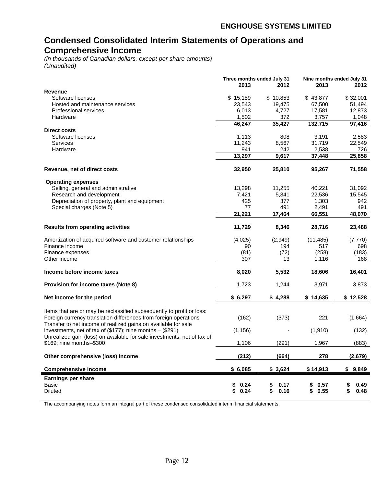# **Condensed Consolidated Interim Statements of Operations and Comprehensive Income**

(in thousands of Canadian dollars, except per share amounts) (Unaudited)

| Revenue<br>Software licenses<br>Hosted and maintenance services<br>Professional services<br>Hardware<br><b>Direct costs</b><br>Software licenses<br>Services<br>Hardware<br>Revenue, net of direct costs<br><b>Operating expenses</b><br>Selling, general and administrative<br>Research and development | 2013<br>\$15,189<br>23,543<br>6,013<br>1,502<br>46,247<br>1,113<br>11,243<br>941<br>13,297<br>32,950<br>13,298<br>7,421<br>425<br>77 | 2012<br>\$10,853<br>19,475<br>4,727<br>372<br>35,427<br>808<br>8,567<br>242<br>9,617<br>25,810<br>11,255<br>5,341<br>377 | 2013<br>\$43,877<br>67,500<br>17,581<br>3,757<br>132,715<br>3,191<br>31,719<br>2,538<br>37,448<br>95,267<br>40,221 | 2012<br>\$32,001<br>51,494<br>12,873<br>1,048<br>97,416<br>2,583<br>22,549<br>726<br>25,858<br>71,558 |
|----------------------------------------------------------------------------------------------------------------------------------------------------------------------------------------------------------------------------------------------------------------------------------------------------------|--------------------------------------------------------------------------------------------------------------------------------------|--------------------------------------------------------------------------------------------------------------------------|--------------------------------------------------------------------------------------------------------------------|-------------------------------------------------------------------------------------------------------|
|                                                                                                                                                                                                                                                                                                          |                                                                                                                                      |                                                                                                                          |                                                                                                                    |                                                                                                       |
|                                                                                                                                                                                                                                                                                                          |                                                                                                                                      |                                                                                                                          |                                                                                                                    |                                                                                                       |
|                                                                                                                                                                                                                                                                                                          |                                                                                                                                      |                                                                                                                          |                                                                                                                    |                                                                                                       |
|                                                                                                                                                                                                                                                                                                          |                                                                                                                                      |                                                                                                                          |                                                                                                                    |                                                                                                       |
|                                                                                                                                                                                                                                                                                                          |                                                                                                                                      |                                                                                                                          |                                                                                                                    |                                                                                                       |
|                                                                                                                                                                                                                                                                                                          |                                                                                                                                      |                                                                                                                          |                                                                                                                    |                                                                                                       |
|                                                                                                                                                                                                                                                                                                          |                                                                                                                                      |                                                                                                                          |                                                                                                                    |                                                                                                       |
|                                                                                                                                                                                                                                                                                                          |                                                                                                                                      |                                                                                                                          |                                                                                                                    |                                                                                                       |
|                                                                                                                                                                                                                                                                                                          |                                                                                                                                      |                                                                                                                          |                                                                                                                    |                                                                                                       |
|                                                                                                                                                                                                                                                                                                          |                                                                                                                                      |                                                                                                                          |                                                                                                                    |                                                                                                       |
|                                                                                                                                                                                                                                                                                                          |                                                                                                                                      |                                                                                                                          |                                                                                                                    |                                                                                                       |
|                                                                                                                                                                                                                                                                                                          |                                                                                                                                      |                                                                                                                          |                                                                                                                    |                                                                                                       |
|                                                                                                                                                                                                                                                                                                          |                                                                                                                                      |                                                                                                                          |                                                                                                                    |                                                                                                       |
|                                                                                                                                                                                                                                                                                                          |                                                                                                                                      |                                                                                                                          |                                                                                                                    |                                                                                                       |
|                                                                                                                                                                                                                                                                                                          |                                                                                                                                      |                                                                                                                          |                                                                                                                    | 31,092                                                                                                |
|                                                                                                                                                                                                                                                                                                          |                                                                                                                                      |                                                                                                                          | 22,536                                                                                                             | 15,545                                                                                                |
| Depreciation of property, plant and equipment                                                                                                                                                                                                                                                            |                                                                                                                                      |                                                                                                                          | 1,303                                                                                                              | 942                                                                                                   |
| Special charges (Note 5)                                                                                                                                                                                                                                                                                 |                                                                                                                                      | 491                                                                                                                      | 2,491                                                                                                              | 491                                                                                                   |
|                                                                                                                                                                                                                                                                                                          | 21,221                                                                                                                               | 17,464                                                                                                                   | 66,551                                                                                                             | 48,070                                                                                                |
|                                                                                                                                                                                                                                                                                                          |                                                                                                                                      |                                                                                                                          |                                                                                                                    |                                                                                                       |
| <b>Results from operating activities</b>                                                                                                                                                                                                                                                                 | 11,729                                                                                                                               | 8,346                                                                                                                    | 28,716                                                                                                             | 23,488                                                                                                |
| Amortization of acquired software and customer relationships                                                                                                                                                                                                                                             | (4,025)                                                                                                                              | (2,949)                                                                                                                  | (11, 485)                                                                                                          | (7, 770)                                                                                              |
| Finance income                                                                                                                                                                                                                                                                                           | 90                                                                                                                                   | 194                                                                                                                      | 517                                                                                                                | 698                                                                                                   |
| Finance expenses                                                                                                                                                                                                                                                                                         | (81)                                                                                                                                 | (72)                                                                                                                     | (258)                                                                                                              | (183)                                                                                                 |
| Other income                                                                                                                                                                                                                                                                                             | 307                                                                                                                                  | 13                                                                                                                       | 1,116                                                                                                              | 168                                                                                                   |
|                                                                                                                                                                                                                                                                                                          |                                                                                                                                      |                                                                                                                          |                                                                                                                    |                                                                                                       |
| Income before income taxes                                                                                                                                                                                                                                                                               | 8,020                                                                                                                                | 5,532                                                                                                                    | 18,606                                                                                                             | 16,401                                                                                                |
| <b>Provision for income taxes (Note 8)</b>                                                                                                                                                                                                                                                               | 1,723                                                                                                                                | 1,244                                                                                                                    | 3,971                                                                                                              | 3,873                                                                                                 |
| Net income for the period                                                                                                                                                                                                                                                                                | \$6,297                                                                                                                              | \$4,288                                                                                                                  | \$14,635                                                                                                           | \$12,528                                                                                              |
|                                                                                                                                                                                                                                                                                                          |                                                                                                                                      |                                                                                                                          |                                                                                                                    |                                                                                                       |
| Items that are or may be reclassified subsequently to profit or loss:                                                                                                                                                                                                                                    |                                                                                                                                      |                                                                                                                          |                                                                                                                    |                                                                                                       |
| Foreign currency translation differences from foreign operations                                                                                                                                                                                                                                         | (162)                                                                                                                                | (373)                                                                                                                    | 221                                                                                                                | (1,664)                                                                                               |
| Transfer to net income of realized gains on available for sale                                                                                                                                                                                                                                           |                                                                                                                                      |                                                                                                                          |                                                                                                                    |                                                                                                       |
| investments, net of tax of $(\$177)$ ; nine months $ (\$291)$                                                                                                                                                                                                                                            | (1, 156)                                                                                                                             |                                                                                                                          | (1,910)                                                                                                            | (132)                                                                                                 |
| Unrealized gain (loss) on available for sale investments, net of tax of                                                                                                                                                                                                                                  |                                                                                                                                      |                                                                                                                          |                                                                                                                    |                                                                                                       |
| \$169; nine months-\$300                                                                                                                                                                                                                                                                                 | 1,106                                                                                                                                | (291)                                                                                                                    | 1,967                                                                                                              | (883)                                                                                                 |
|                                                                                                                                                                                                                                                                                                          |                                                                                                                                      |                                                                                                                          |                                                                                                                    |                                                                                                       |
| Other comprehensive (loss) income                                                                                                                                                                                                                                                                        | (212)                                                                                                                                | (664)                                                                                                                    | 278                                                                                                                | (2,679)                                                                                               |
| <b>Comprehensive income</b>                                                                                                                                                                                                                                                                              | \$6,085                                                                                                                              | \$3,624                                                                                                                  | \$14,913                                                                                                           | \$9,849                                                                                               |
|                                                                                                                                                                                                                                                                                                          |                                                                                                                                      |                                                                                                                          |                                                                                                                    |                                                                                                       |
| Earnings per share                                                                                                                                                                                                                                                                                       |                                                                                                                                      |                                                                                                                          |                                                                                                                    |                                                                                                       |
| Basic                                                                                                                                                                                                                                                                                                    | \$0.24                                                                                                                               | \$0.17                                                                                                                   | \$0.57                                                                                                             | \$0.49                                                                                                |
| <b>Diluted</b>                                                                                                                                                                                                                                                                                           | \$0.24                                                                                                                               | \$0.16                                                                                                                   | \$0.55                                                                                                             | \$0.48                                                                                                |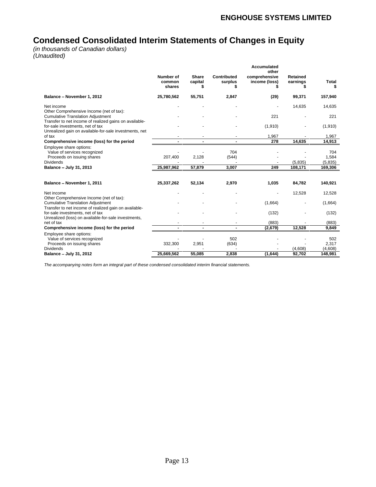# **Condensed Consolidated Interim Statements of Changes in Equity**

(in thousands of Canadian dollars) (Unaudited)

|                                                                                            |                                                            |                                                    |                                           | <b>Accumulated</b>     |                  |                      |
|--------------------------------------------------------------------------------------------|------------------------------------------------------------|----------------------------------------------------|-------------------------------------------|------------------------|------------------|----------------------|
|                                                                                            | Number of                                                  | Share                                              | Contributed                               | other<br>comprehensive | Retained         |                      |
|                                                                                            | common                                                     | capital                                            | surplus                                   | income (loss)          | earnings         | Total                |
|                                                                                            | shares                                                     |                                                    |                                           |                        |                  |                      |
| Balance - November 1, 2012                                                                 |                                                            |                                                    | 2,847                                     |                        |                  |                      |
|                                                                                            | 25,780,562                                                 | 55,751                                             |                                           | (29)                   | 99,371           | 157,940              |
| Net income                                                                                 | $\sim$                                                     | $\sim$                                             | $\sim$                                    | $\sim$                 | 14,635           | 14,635               |
| Other Comprehensive Income (net of tax):                                                   |                                                            |                                                    |                                           |                        |                  |                      |
| <b>Cumulative Translation Adjustment</b>                                                   | $\sim$                                                     |                                                    |                                           | 221                    | $\sim$           | 221                  |
| Transfer to net income of realized gains on available-                                     |                                                            |                                                    |                                           |                        |                  |                      |
| for-sale investments, net of tax<br>Unrealized gain on available-for-sale investments, net | $\sim 100$                                                 | $\sim$                                             | $\sim$                                    | (1,910)                | $\sim$ 100 $\pm$ | (1, 910)             |
| of tax                                                                                     | $\sim$ 100 $\pm$                                           | <b>Contract Contract</b>                           | $\sim$                                    | 1.967                  | $\sim$           | 1.967                |
| Comprehensive income (loss) for the period                                                 | <b>Service</b>                                             |                                                    | $\sim$ $\sim$                             | $\overline{278}$       | 14,635           | 14,913               |
| Employee share options:                                                                    |                                                            |                                                    |                                           |                        |                  |                      |
| Value of services recognized                                                               | $\sim$                                                     |                                                    | 704                                       |                        |                  | 704                  |
| Proceeds on issuing shares                                                                 | 207,400                                                    | 2,128                                              | (544)                                     |                        |                  | 1,584                |
| Dividends                                                                                  |                                                            |                                                    | $\sim$                                    |                        | (5, 835)         | (5, 835)             |
| Balance - July 31, 2013                                                                    | 25,987,962                                                 | 57,879                                             | 3.007                                     | 249                    | 108.17           | 169,306              |
|                                                                                            |                                                            |                                                    |                                           |                        |                  |                      |
| Balance - November 1, 2011                                                                 | 25,337,262                                                 | 52,134                                             | 2,970                                     | 1,035                  | 84,782           | 140,921              |
|                                                                                            |                                                            |                                                    |                                           |                        |                  |                      |
| Net income                                                                                 | $\sim$                                                     |                                                    |                                           | $\sim$                 | 12,528           | 12,528               |
| Other Comprehensive Income (net of tax):                                                   |                                                            |                                                    |                                           |                        |                  |                      |
| <b>Cumulative Translation Adjustment</b>                                                   | $\sim$ 100 $\sim$                                          |                                                    | $\sim$                                    | (1,664)                | $\sim$           | (1,664)              |
| Transfer to net income of realized gain on available-<br>for-sale investments, net of tax  | $\sim$ 100 $\sim$                                          | $\sim$                                             | $\sim$                                    | (132)                  | $\sim$           | (132)                |
| Unrealized (loss) on available-for-sale investments,                                       |                                                            |                                                    |                                           |                        |                  |                      |
| net of tax                                                                                 | <b>Contract Contract</b>                                   | <b>Contract Contract Contract Contract</b>         |                                           | (883)                  |                  | (883)                |
| Comprehensive income (loss) for the period                                                 | $\overline{\phantom{a}}$<br><b>Contract Contract State</b> | <b>Service Contract Contract Contract Contract</b> | <b>Service Contract Contract Contract</b> | (2,679)                | 12.528           | $\frac{1000}{9,849}$ |
| Employee share options:                                                                    |                                                            |                                                    |                                           |                        |                  |                      |
| Value of services recognized                                                               |                                                            |                                                    | 502                                       | $\sim$                 |                  | 502                  |
| Proceeds on issuing shares                                                                 | 332,300                                                    | 2,951                                              | (634)                                     | $\sim$                 |                  | 2,317                |
| Dividends                                                                                  |                                                            |                                                    | $\sim 100$                                | $\sim$                 | (4.608)          | (4,608)              |
| Balance - July 31, 2012                                                                    | 25,669,562                                                 | 55,085                                             | 2.838                                     | (1,644)                | 92.702           | 148.981              |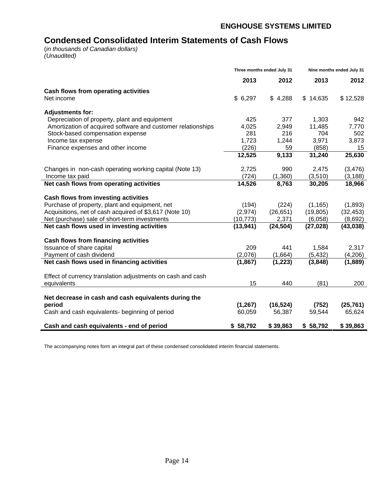# **Condensed Consolidated Interim Statements of Cash Flows**

(in thousands of Canadian dollars) (Unaudited)

|                                                                   | Three months ended July 31 |           |               | Nine months ended July 31 |  |  |
|-------------------------------------------------------------------|----------------------------|-----------|---------------|---------------------------|--|--|
|                                                                   | 2013                       | 2012      | 2013          | 2012                      |  |  |
| Cash flows from operating activities                              |                            |           |               |                           |  |  |
| Net income                                                        | \$6,297                    | 4,288     | 14,635<br>-86 | \$12,528                  |  |  |
| <b>Adjustments for:</b>                                           |                            |           |               |                           |  |  |
| Depreciation of property, plant and equipment                     | 425                        | 377       | 1,303         | 942                       |  |  |
| Amortization of acquired software and customer relationships      | 4,025                      | 2,949     | 11,485        | 7,770                     |  |  |
| Stock-based compensation expense                                  | 281                        | 216       | 704           | 502                       |  |  |
| Income tax expense                                                | 1,723                      | 1,244     | 3,971         | 3,873                     |  |  |
| Finance expenses and other income                                 | (226)                      | 59        | (858)         | 15                        |  |  |
|                                                                   | 12,525                     | 9,133     | 31,240        | 25,630                    |  |  |
|                                                                   |                            |           |               |                           |  |  |
| Changes in non-cash operating working capital (Note 13)           | 2,725                      | 990       | 2,475         | (3, 476)                  |  |  |
| Income tax paid                                                   | (724)                      | (1,360)   | (3,510)       | (3, 188)                  |  |  |
| Net cash flows from operating activities                          | 14,526                     | 8,763     | 30,205        | 18,966                    |  |  |
| Cash flows from investing activities                              |                            |           |               |                           |  |  |
| Purchase of property, plant and equipment, net                    | (194)                      | (224)     | (1, 165)      | (1,893)                   |  |  |
| Acquisitions, net of cash acquired of \$3,617 (Note 10)           | (2,974)                    | (26, 651) | (19, 805)     | (32, 453)                 |  |  |
| Net (purchase) sale of short-term investments                     | (10, 773)                  | 2,371     | (6,058)       | (8,692)                   |  |  |
| Net cash flows used in investing activities                       | (13, 941)                  | (24, 504) | (27, 028)     | (43,038)                  |  |  |
|                                                                   |                            |           |               |                           |  |  |
| Cash flows from financing activities<br>Issuance of share capital | 209                        | 441       | 1,584         | 2,317                     |  |  |
| Payment of cash dividend                                          | (2,076)                    | (1,664)   | (5, 432)      | (4,206)                   |  |  |
|                                                                   | (1, 867)                   |           | (3,848)       |                           |  |  |
| Net cash flows used in financing activities                       |                            | (1, 223)  |               | (1,889)                   |  |  |
| Effect of currency translation adjustments on cash and cash       |                            |           |               |                           |  |  |
| equivalents                                                       | 15                         | 440       | (81)          | 200                       |  |  |
|                                                                   |                            |           |               |                           |  |  |
| Net decrease in cash and cash equivalents during the              |                            |           |               |                           |  |  |
| period                                                            | (1, 267)                   | (16, 524) | (752)         | (25, 761)                 |  |  |
| Cash and cash equivalents- beginning of period                    | 60,059                     | 56,387    | 59,544        | 65,624                    |  |  |
| Cash and cash equivalents - end of period                         | \$58,792                   | \$39,863  | 58,792        | \$39,863                  |  |  |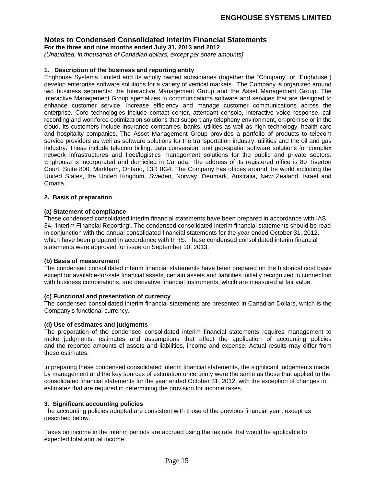**For the three and nine months ended July 31, 2013 and 2012**

(Unaudited, in thousands of Canadian dollars, except per share amounts)

#### **1. Description of the business and reporting entity**

Enghouse Systems Limited and its wholly owned subsidiaries (together the "Company" or "Enghouse") develop enterprise software solutions for a variety of vertical markets. The Company is organized around two business segments: the Interactive Management Group and the Asset Management Group. The Interactive Management Group specializes in communications software and services that are designed to enhance customer service, increase efficiency and manage customer communications across the enterprise. Core technologies include contact center, attendant console, interactive voice response, call recording and workforce optimization solutions that support any telephony environment, on-premise or in the cloud. Its customers include insurance companies, banks, utilities as well as high technology, health care and hospitality companies. The Asset Management Group provides a portfolio of products to telecom service providers as well as software solutions for the transportation industry, utilities and the oil and gas industry. These include telecom billing, data conversion, and geo-spatial software solutions for complex network infrastructures and fleet/logistics management solutions for the public and private sectors. Enghouse is incorporated and domiciled in Canada. The address of its registered office is 80 Tiverton Court, Suite 800, Markham, Ontario, L3R 0G4. The Company has offices around the world including the United States, the United Kingdom, Sweden, Norway, Denmark, Australia, New Zealand, Israel and Croatia.

#### **2. Basis of preparation**

#### **(a) Statement of compliance**

These condensed consolidated interim financial statements have been prepared in accordance with IAS 34, Interim Financial Reporting . The condensed consolidated interim financial statements should be read in conjunction with the annual consolidated financial statements for the year ended October 31, 2012, which have been prepared in accordance with IFRS. These condensed consolidated interim financial statements were approved for issue on September 10, 2013.

#### **(b) Basis of measurement**

The condensed consolidated interim financial statements have been prepared on the historical cost basis except for available-for-sale financial assets, certain assets and liabilities initially recognized in connection with business combinations, and derivative financial instruments, which are measured at fair value.

#### **(c) Functional and presentation of currency**

The condensed consolidated interim financial statements are presented in Canadian Dollars, which is the Company's functional currency.

#### **(d) Use of estimates and judgments**

The preparation of the condensed consolidated interim financial statements requires management to make judgments, estimates and assumptions that affect the application of accounting policies and the reported amounts of assets and liabilities, income and expense. Actual results may differ from these estimates.

In preparing these condensed consolidated interim financial statements, the significant judgements made by management and the key sources of estimation uncertainty were the same as those that applied to the consolidated financial statements for the year ended October 31, 2012, with the exception of changes in estimates that are required in determining the provision for income taxes.

#### **3. Significant accounting policies**

The accounting policies adopted are consistent with those of the previous financial year, except as described below.

Taxes on income in the interim periods are accrued using the tax rate that would be applicable to expected total annual income.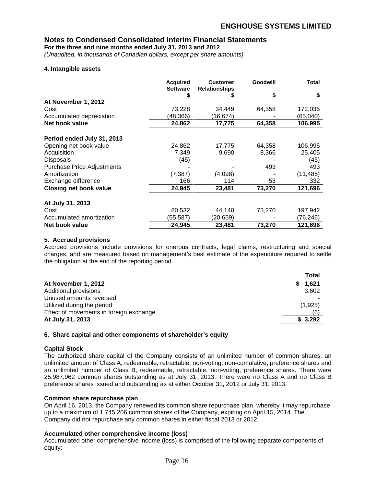**For the three and nine months ended July 31, 2013 and 2012**

(Unaudited, in thousands of Canadian dollars, except per share amounts)

#### **4. Intangible assets**

|                               | <b>Acquired</b><br>Software | <b>Customer</b><br><b>Relationships</b> | Goodwill | <b>Total</b> |
|-------------------------------|-----------------------------|-----------------------------------------|----------|--------------|
|                               |                             |                                         |          |              |
| At November 1, 2012           |                             |                                         |          |              |
| Cost                          | 73,228                      | 34,449                                  | 64,358   | 172,035      |
| Accumulated depreciation      | (48, 366)                   | (16, 674)                               |          | (65,040)     |
| Net book value                | 24,862                      | 17,775                                  | 64,358   | 106,995      |
| Period ended July 31, 2013    |                             |                                         |          |              |
| Opening net book value        | 24,862                      | 17,775                                  | 64,358   | 106,995      |
| Acquisition                   | 7,349                       | 9,690                                   | 8,366    | 25,405       |
| Disposals                     | (45)                        |                                         |          | (45)         |
| Purchase Price Adjustments    |                             |                                         | 493      | 493          |
| Amortization                  | (7, 387)                    | (4,098)                                 | $\sim$   | (11, 485)    |
| Exchange difference           | 166                         | 114                                     | 53       | 332          |
| <b>Closing net book value</b> | 24,945                      | 23,481                                  | 73,270   | 121,696      |
| At July 31, 2013              |                             |                                         |          |              |
| Cost                          | 80,532                      | 44,140                                  | 73,270   | 197,942      |
| Accumulated amortization      | (55, 587)                   | (20, 659)                               |          | (76, 246)    |
| Net book value                | 24,945                      | 23,481                                  | 73,270   | 121,696      |

#### **5. Accrued provisions**

Accrued provisions include provisions for onerous contracts, legal claims, restructuring and special charges, and are measured based on management's best estimate of the expenditure required to settle the obligation at the end of the reporting period.

|                                         | <b>Total</b> |
|-----------------------------------------|--------------|
| At November 1, 2012                     | 1,621        |
| Additional provisions                   | 3,602        |
| Unused amounts reversed                 |              |
| Utilized during the period              | (1, 925)     |
| Effect of movements in foreign exchange |              |
| At July 31, 2013                        | \$3,292      |

#### **6. Share capital and other components of shareholder s equity**

#### **Capital Stock**

The authorized share capital of the Company consists of an unlimited number of common shares, an unlimited amount of Class A, redeemable, retractable, non-voting, non-cumulative, preference shares and an unlimited number of Class B, redeemable, retractable, non-voting, preference shares. There were 25,987,962 common shares outstanding as at July 31, 2013. There were no Class A and no Class B preference shares issued and outstanding as at either October 31, 2012 or July 31, 2013.

#### **Common share repurchase plan**

On April 16, 2013, the Company renewed its common share repurchase plan, whereby it may repurchase up to a maximum of 1,745,206 common shares of the Company, expiring on April 15, 2014. The Company did not repurchase any common shares in either fiscal 2013 or 2012.

#### **Accumulated other comprehensive income (loss)**

Accumulated other comprehensive income (loss) is comprised of the following separate components of equity: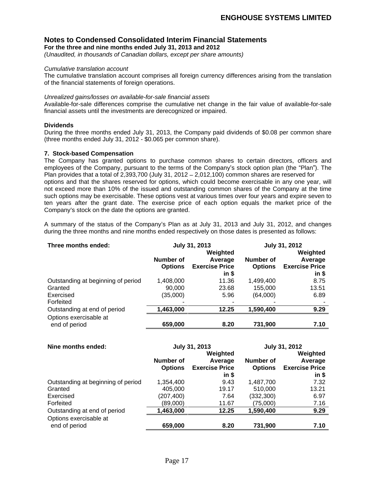**For the three and nine months ended July 31, 2013 and 2012**

(Unaudited, in thousands of Canadian dollars, except per share amounts)

#### Cumulative translation account

The cumulative translation account comprises all foreign currency differences arising from the translation of the financial statements of foreign operations.

#### Unrealized gains/losses on available-for-sale financial assets

Available-for-sale differences comprise the cumulative net change in the fair value of available-for-sale financial assets until the investments are derecognized or impaired.

#### **Dividends**

During the three months ended July 31, 2013, the Company paid dividends of \$0.08 per common share (three months ended July 31, 2012 - \$0.065 per common share).

#### **7. Stock-based Compensation**

The Company has granted options to purchase common shares to certain directors, officers and employees of the Company, pursuant to the terms of the Company's stock option plan (the "Plan"). The Plan provides that a total of  $2,393,700$  (July 31,  $2012 - 2,012,100$ ) common shares are reserved for options and that the shares reserved for options, which could become exercisable in any one year, will not exceed more than 10% of the issued and outstanding common shares of the Company at the time such options may be exercisable. These options vest at various times over four years and expire seven to ten years after the grant date. The exercise price of each option equals the market price of the Company's stock on the date the options are granted.

A summary of the status of the Company's Plan as at July 31, 2013 and July 31, 2012, and changes during the three months and nine months ended respectively on those dates is presented as follows:

| Three months ended:                |                  | July 31, 2013                 |                | July 31, 2012         |
|------------------------------------|------------------|-------------------------------|----------------|-----------------------|
|                                    |                  | Weighted                      |                | Weighted              |
|                                    | <b>Number of</b> | Average                       | Number of      | Average               |
|                                    |                  | <b>Options Exercise Price</b> | <b>Options</b> | <b>Exercise Price</b> |
|                                    |                  | $\mathsf{in} \; \mathsf{s}$   |                | in \$                 |
| Outstanding at beginning of period | ,408,000         | 11.36                         | ,499,400       | 8.75                  |
| Granted                            | 90,000           | 23.68                         | 155,000        | 13.51                 |
| Exercised                          | (35,000)         | 5.96                          | (64,000)       | 6.89                  |
| Forfeited                          |                  |                               |                |                       |
| Outstanding at end of period       | 1,463,000        | 12.25                         | 1,590,400      | 9.29                  |
| Options exercisable at             |                  |                               |                |                       |
| end of period                      | 659,000          | 8.20                          | 731,900        | <b>710</b>            |

| Nine months ended:                 |            | July 31, 2013                 |                  | July 31, 2012                 |
|------------------------------------|------------|-------------------------------|------------------|-------------------------------|
|                                    |            | Weighted                      |                  | Weighted                      |
|                                    | Number of  | Average                       | <b>Number of</b> | Average                       |
|                                    |            | <b>Options Exercise Price</b> |                  | <b>Options Exercise Price</b> |
|                                    |            | in \$                         |                  | in \$                         |
| Outstanding at beginning of period | 1,354,400  | 9.43                          | ,487,700         | 7.32                          |
| Granted                            | 405,000    | 19.17                         | 510,000          | 13.21                         |
| Exercised                          | (207, 400) | 7.64                          | (332, 300)       | 6.97                          |
| Forfeited                          | (89,000)   | 11.67                         | (75,000)         | 7.16                          |
| Outstanding at end of period       | 1,463,000  | 12.25                         | 1,590,400        | 9.29                          |
| Options exercisable at             |            |                               |                  |                               |
| end of period                      | 659,000    | 8.20                          | 731,900          | 7.10                          |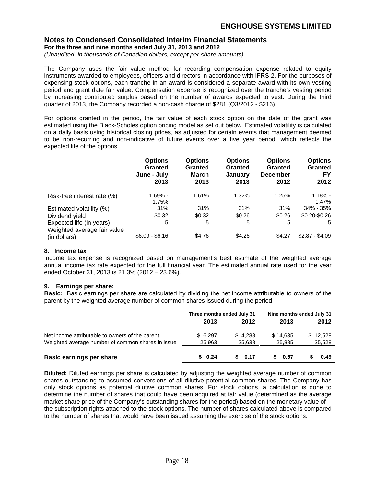**For the three and nine months ended July 31, 2013 and 2012**

(Unaudited, in thousands of Canadian dollars, except per share amounts)

The Company uses the fair value method for recording compensation expense related to equity instruments awarded to employees, officers and directors in accordance with IFRS 2. For the purposes of expensing stock options, each tranche in an award is considered a separate award with its own vesting period and grant date fair value. Compensation expense is recognized over the tranche's vesting period by increasing contributed surplus based on the number of awards expected to vest. During the third quarter of 2013, the Company recorded a non-cash charge of \$281 (Q3/2012 - \$216).

For options granted in the period, the fair value of each stock option on the date of the grant was estimated using the Black-Scholes option pricing model as set out below. Estimated volatility is calculated on a daily basis using historical closing prices, as adjusted for certain events that management deemed to be non-recurring and non-indicative of future events over a five year period, which reflects the expected life of the options.

|                                                                                                                       | Options         | Option.        | <b>Options</b> | <b>Options</b>  | <b>Options</b>       |
|-----------------------------------------------------------------------------------------------------------------------|-----------------|----------------|----------------|-----------------|----------------------|
|                                                                                                                       | Granted         | <b>Grantec</b> | Granted        | Grantec         | <b>Granted</b>       |
|                                                                                                                       | June - July     | <b>March</b>   | January        | <b>December</b> | <b>EV</b>            |
|                                                                                                                       | 2013            | 2013           | 2013           | 2012            | 2012                 |
|                                                                                                                       |                 |                |                |                 |                      |
| Risk-free interest rate (%)                                                                                           | 1.69% -         | 1.61%          | 1.32%          | 1.25%           | $1.18% -$            |
|                                                                                                                       | 1.75%           |                |                |                 | 1.47%                |
|                                                                                                                       | 31%             | 31%            | 31%            | 31%             | 34% - 35%            |
|                                                                                                                       | \$0.32          | \$0.32         | \$0.26         |                 | \$0.26 \$0.20-\$0.26 |
|                                                                                                                       |                 |                |                |                 |                      |
|                                                                                                                       |                 |                |                |                 |                      |
| Estimated volatility (%)<br>Dividend yield<br>Expected life (in years)<br>Weighted average fair value<br>(in dollars) | \$6.09 - \$6.16 | \$4.76         | \$4.26         | \$4.27          | $$2.87 - $4.09$      |

#### **8. Income tax**

Income tax expense is recognized based on management's best estimate of the weighted average annual income tax rate expected for the full financial year. The estimated annual rate used for the year ended October 31, 2013 is 21.3% (2012 - 23.6%).

#### **9. Earnings per share:**

**Basic:** Basic earnings per share are calculated by dividing the net income attributable to owners of the parent by the weighted average number of common shares issued during the period.

|                                                   | Three months ended July 31 |        | Nine months ended July 31 |                    |  |
|---------------------------------------------------|----------------------------|--------|---------------------------|--------------------|--|
|                                                   | 2013                       | 2012   | 2013                      | 2012               |  |
| Net income attributable to owners of the parent   | \$6,297                    | 34,288 | \$14,635                  | \$12,528<br>25,528 |  |
| Weighted average number of common shares in issue | 25,963                     | 25,638 | 25,885                    |                    |  |
| <b>Basic earnings per share</b>                   | \$0.24                     | 0.17   | . በ 57                    | 0.49               |  |

**Diluted:** Diluted earnings per share is calculated by adjusting the weighted average number of common shares outstanding to assumed conversions of all dilutive potential common shares. The Company has only stock options as potential dilutive common shares. For stock options, a calculation is done to determine the number of shares that could have been acquired at fair value (determined as the average market share price of the Company's outstanding shares for the period) based on the monetary value of the subscription rights attached to the stock options. The number of shares calculated above is compared to the number of shares that would have been issued assuming the exercise of the stock options.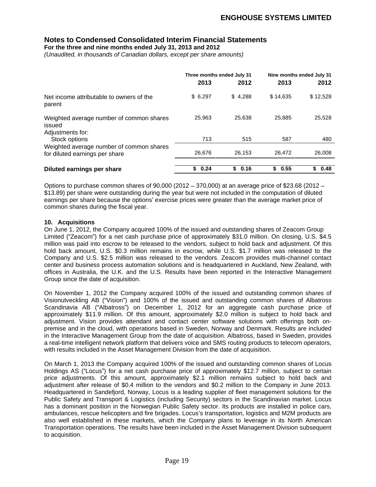**For the three and nine months ended July 31, 2013 and 2012**

(Unaudited, in thousands of Canadian dollars, except per share amounts)

|                                                                            | Three months ended July 31 |         | Nine months ended July 31 |          |
|----------------------------------------------------------------------------|----------------------------|---------|---------------------------|----------|
|                                                                            | 2013                       | 2012    | 2013                      | 2012     |
| Net income attributable to owners of the<br>parent                         | \$6,297                    | \$4,288 | \$14,635                  | \$12,528 |
| Weighted average number of common shares<br>issued<br>Adjustments for:     | 25,963                     | 25,638  | 25,885                    | 25,528   |
| Stock options                                                              | 713                        | 515     | 587                       | 480      |
| Weighted average number of common shares<br>for diluted earnings per share | 26,676                     | 26,153  | 26,472                    | 26,008   |
| Diluted earnings per share                                                 | \$0.24                     | \$0.16  | \$0.55                    | \$0.48   |

Options to purchase common shares of  $90,000$  (2012 - 370,000) at an average price of \$23.68 (2012 -\$13.89) per share were outstanding during the year but were not included in the computation of diluted earnings per share because the options' exercise prices were greater than the average market price of common shares during the fiscal year.

#### **10. Acquisitions**

On June 1, 2012, the Company acquired 100% of the issued and outstanding shares of Zeacom Group Limited ("Zeacom") for a net cash purchase price of approximately \$31.0 million. On closing, U.S. \$4.5 million was paid into escrow to be released to the vendors, subject to hold back and adjustment. Of this hold back amount, U.S. \$0.3 million remains in escrow, while U.S. \$1.7 million was released to the Company and U.S. \$2.5 million was released to the vendors. Zeacom provides multi-channel contact center and business process automation solutions and is headquartered in Auckland, New Zealand, with offices in Australia, the U.K. and the U.S. Results have been reported in the Interactive Management Group since the date of acquisition.

On November 1, 2012 the Company acquired 100% of the issued and outstanding common shares of Visionutveckling AB ("Vision") and 100% of the issued and outstanding common shares of Albatross Scandinavia AB ("Albatross") on December 1, 2012 for an aggregate cash purchase price of approximately \$11.9 million. Of this amount, approximately \$2.0 million is subject to hold back and adjustment. Vision provides attendant and contact center software solutions with offerings both on-premise and in the cloud, with operations based in Sweden, Norway and Denmark. Results are included in the Interactive Management Group from the date of acquisition. Albatross, based in Sweden, provides a real-time intelligent network platform that delivers voice and SMS routing products to telecom operators, with results included in the Asset Management Division from the date of acquisition.

On March 1, 2013 the Company acquired 100% of the issued and outstanding common shares of Locus Holdings AS ("Locus") for a net cash purchase price of approximately \$12.7 million, subject to certain price adjustments. Of this amount, approximately \$2.1 million remains subject to hold back and adjustment after release of \$0.4 million to the vendors and \$0.2 million to the Company in June 2013. Headquartered in Sandefjord, Norway, Locus is a leading supplier of fleet management solutions for the Public Safety and Transport & Logistics (including Security) sectors in the Scandinavian market. Locus has a dominant position in the Norwegian Public Safety sector. Its products are installed in police cars, ambulances, rescue helicopters and fire brigades. Locus's transportation, logistics and M2M products are also well established in these markets, which the Company plans to leverage in its North American Transportation operations. The results have been included in the Asset Management Division subsequent to acquisition.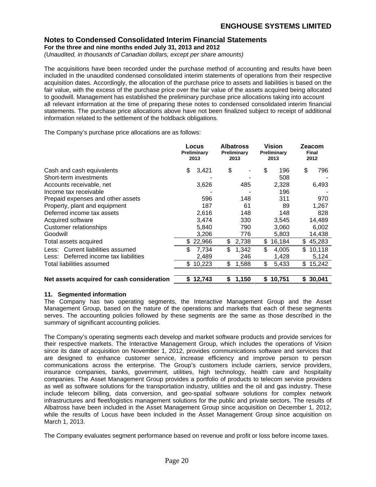**For the three and nine months ended July 31, 2013 and 2012**

(Unaudited, in thousands of Canadian dollars, except per share amounts)

The acquisitions have been recorded under the purchase method of accounting and results have been included in the unaudited condensed consolidated interim statements of operations from their respective acquisition dates. Accordingly, the allocation of the purchase price to assets and liabilities is based on the fair value, with the excess of the purchase price over the fair value of the assets acquired being allocated to goodwill. Management has established the preliminary purchase price allocations taking into account all relevant information at the time of preparing these notes to condensed consolidated interim financial statements. The purchase price allocations above have not been finalized subject to receipt of additional information related to the settlement of the holdback obligations.

The Company's purchase price allocations are as follows:

|                                             | Locus<br>Preliminar<br>2013 | <b>Albatross</b><br>Preliminary<br>2013 | <b>Vision</b><br>Preliminary<br>2013 | Zeacon<br><b>Final</b><br>2012 |
|---------------------------------------------|-----------------------------|-----------------------------------------|--------------------------------------|--------------------------------|
|                                             |                             |                                         |                                      |                                |
| Cash and cash equivalents                   | 3,421                       | <b>Service</b>                          |                                      | 196 \$ 796                     |
| Short-term investments                      |                             |                                         | 508                                  |                                |
| Accounts receivable, net                    | 3,626                       | 485                                     | 2,328                                | 6,493                          |
| Income tax receivable                       |                             |                                         | 196                                  |                                |
| Prepaid expenses and other assets           | 596                         | 148                                     | 31'                                  |                                |
| Property, plant and equipment               | 187                         |                                         | 89                                   | 1,267                          |
| Deferred income tax assets                  | 2,616                       | 148                                     | 148                                  | 828                            |
|                                             | 3,474                       | 330                                     | 3,545                                | 14,489                         |
| Acquired software<br>Customer relationships | 5,840                       | 790                                     | 3,060                                | 6,002                          |
| Goodwill                                    | 3,206                       | 776                                     | 5,803                                | 14,438                         |
|                                             |                             |                                         |                                      | $$2,738$ $$16,184$ $$45,283$   |
| Total assets acquired                       | \$22,966                    |                                         |                                      |                                |
| Less: Current liabilities assumed           | 7,734                       | 1,342                                   | 4,005                                | \$10,118                       |
| Less: Deferred income tax liabilities       | 2,489                       | 246                                     | 1,428                                | 5.124                          |
| Total liabilities assumed                   | \$10,22                     | \$1,588                                 | $\frac{1}{5}$ 5,433 \$ 15,242        |                                |
|                                             |                             |                                         |                                      |                                |
| Net assets acquired for cash consideration  | \$12,743                    | \$1,150                                 | \$10,751                             | \$30,041                       |

### **11. Segmented information**

The Company has two operating segments, the Interactive Management Group and the Asset Management Group, based on the nature of the operations and markets that each of these segments serves. The accounting policies followed by these segments are the same as those described in the summary of significant accounting policies.

The Company's operating segments each develop and market software products and provide services for their respective markets. The Interactive Management Group, which includes the operations of Vision since its date of acquisition on November 1, 2012, provides communications software and services that are designed to enhance customer service, increase efficiency and improve person to person communications across the enterprise. The Group's customers include carriers, service providers, insurance companies, banks, government, utilities, high technology, health care and hospitality companies. The Asset Management Group provides a portfolio of products to telecom service providers as well as software solutions for the transportation industry, utilities and the oil and gas industry. These include telecom billing, data conversion, and geo-spatial software solutions for complex network infrastructures and fleet/logistics management solutions for the public and private sectors. The results of Albatross have been included in the Asset Management Group since acquisition on December 1, 2012, while the results of Locus have been included in the Asset Management Group since acquisition on March 1, 2013.

The Company evaluates segment performance based on revenue and profit or loss before income taxes.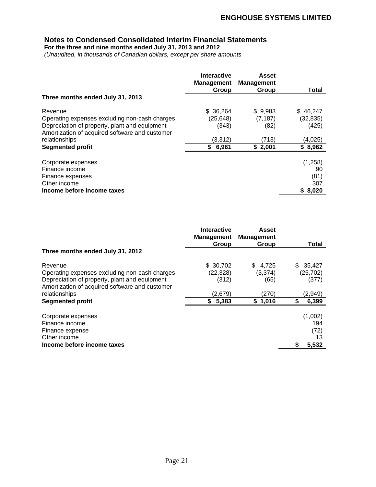**For the three and nine months ended July 31, 2013 and 2012**

(Unaudited, in thousands of Canadian dollars, except per share amounts

|                                                | <b>Interactive</b><br><b>Management</b> | <b>Asset</b><br><b>Management</b> |              |
|------------------------------------------------|-----------------------------------------|-----------------------------------|--------------|
|                                                | Group                                   | Group                             | <b>Total</b> |
| Three months ended July 31, 2013               |                                         |                                   |              |
| Revenue                                        | \$36,264                                | \$9,983                           | \$46,247     |
| Operating expenses excluding non-cash charges  | (25, 648)                               | (7, 187)                          | (32, 835)    |
| Depreciation of property, plant and equipment  | (343)                                   | (82)                              | (425)        |
| Amortization of acquired software and customer |                                         |                                   |              |
| relationships                                  | (3,312)                                 | (713)                             | (4,025)      |
| <b>Segmented profit</b>                        | 6,96                                    | \$2,001                           | \$8,962      |
| Corporate expenses                             |                                         |                                   | (1, 258)     |
| Finance income                                 |                                         |                                   | 90           |
| Finance expenses                               |                                         |                                   | (81)         |
| Other income                                   |                                         |                                   | 207          |
| Income before income taxes                     |                                         |                                   | \$8,020      |

|                                                | Interactive                           | <b>Asset</b> |                                     |
|------------------------------------------------|---------------------------------------|--------------|-------------------------------------|
|                                                | <b>Management Management</b><br>Group | Group        | <b>Total</b>                        |
| Three months ended July 31, 2012               |                                       |              | and the contract of the contract of |
| Revenue                                        | \$ 30,702                             | \$4,725      | \$35,427                            |
| Operating expenses excluding non-cash charges  | (22, 328)                             | (3,374)      | (25, 702)                           |
| Depreciation of property, plant and equipment  | (312)                                 | (65)         | (377)                               |
| Amortization of acquired software and customer |                                       |              |                                     |
| relationships                                  | (2,679)                               | (270)        | (2,949)                             |
| <b>Segmented profit</b>                        | 5,383                                 | \$1,016      | 6,399                               |
| Corporate expenses                             |                                       |              | (1,002)                             |
| Finance income                                 |                                       |              | 194                                 |
| Finance expense                                |                                       |              | (72)                                |
| Other income                                   |                                       |              |                                     |
| Income before income taxes                     |                                       |              | 5,532                               |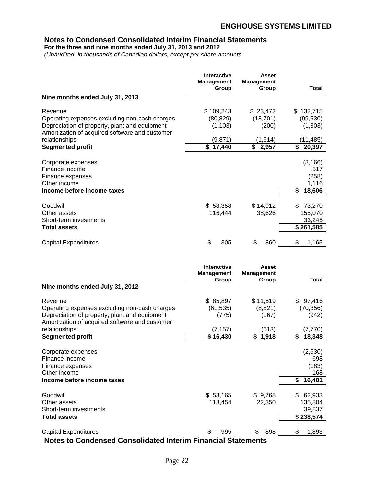**For the three and nine months ended July 31, 2013 and 2012**

(Unaudited, in thousands of Canadian dollars, except per share amounts

|                                                                                                 | <b>Interactive</b><br>Management<br>Group | <b>Asset</b><br><b>Management</b><br>Group | <b>Total</b>                        |
|-------------------------------------------------------------------------------------------------|-------------------------------------------|--------------------------------------------|-------------------------------------|
| Nine months ended July 31, 2013                                                                 |                                           |                                            |                                     |
| Revenue                                                                                         | \$109,243                                 | \$23,472                                   | \$132,715                           |
| Operating expenses excluding non-cash charges                                                   | (80, 829)                                 | (18, 701)                                  | (99, 530)                           |
| Depreciation of property, plant and equipment<br>Amortization of acquired software and customer | (1, 103)                                  | (200)                                      | (1,303)                             |
| relationships                                                                                   | (9,871)                                   | (1,614)                                    | (11, 485)                           |
| <b>Segmented profit</b>                                                                         | \$17,440                                  | \$2,957                                    | \$20,397                            |
| Corporate expenses                                                                              |                                           |                                            |                                     |
| Finance income                                                                                  |                                           |                                            |                                     |
| Finance expenses                                                                                |                                           |                                            | $(3, 166)$<br>517<br>(258)<br>1,116 |
| Other income                                                                                    |                                           |                                            |                                     |
| Income before income taxes                                                                      |                                           |                                            | \$18,606                            |
| Goodwill                                                                                        | \$58,358                                  | \$14,912                                   | \$73,270                            |
| Other assets                                                                                    | 116,444                                   | 38,626                                     | 155,070                             |
| Short-term investments                                                                          |                                           |                                            | 33,245                              |
| <b>Total assets</b>                                                                             |                                           |                                            | \$261,585                           |
| <b>Capital Expenditures</b>                                                                     | 305                                       | 860                                        | $\frac{\$}{\$}$ 1,165               |
|                                                                                                 |                                           |                                            |                                     |

|                                                | Interactive<br>Management | <b>Asset</b><br><b>Management</b> |                                             |
|------------------------------------------------|---------------------------|-----------------------------------|---------------------------------------------|
|                                                | Group                     | Group                             | <b>Total</b>                                |
| Nine months ended July 31, 2012                |                           |                                   |                                             |
| Revenue                                        | \$ 85,897                 | \$11,519                          | \$97,416                                    |
| Operating expenses excluding non-cash charges  | (61, 535)                 | (8, 821)                          | (70, 356)                                   |
| Depreciation of property, plant and equipment  | (775)                     | (167)                             | (942)                                       |
| Amortization of acquired software and customer |                           |                                   |                                             |
| relationships                                  | (7, 157)                  | (613)                             | (7, 770)                                    |
| <b>Segmented profit</b>                        | \$16,430                  | \$1,918                           | \$18,348                                    |
|                                                |                           |                                   |                                             |
| Corporate expenses                             |                           |                                   | (2,630)                                     |
| Finance income                                 |                           |                                   | 698                                         |
| Finance expenses                               |                           |                                   | $(183)$<br>168                              |
| Other income                                   |                           |                                   |                                             |
| Income before income taxes                     |                           |                                   | \$16,401                                    |
| Goodwill                                       | \$53,165                  | \$9,768                           | \$ 62,933                                   |
| Other assets                                   | 113,454                   | 22,350                            | 135,804                                     |
| Short-term investments                         |                           |                                   |                                             |
|                                                |                           |                                   | 39,837<br>and the control of the control of |
| <b>Total assets</b>                            |                           |                                   | \$238,574                                   |
| <b>Capital Expenditures</b>                    | 995                       | 898                               | 1,893                                       |

**Notes to Condensed Consolidated Interim Financial Statements**